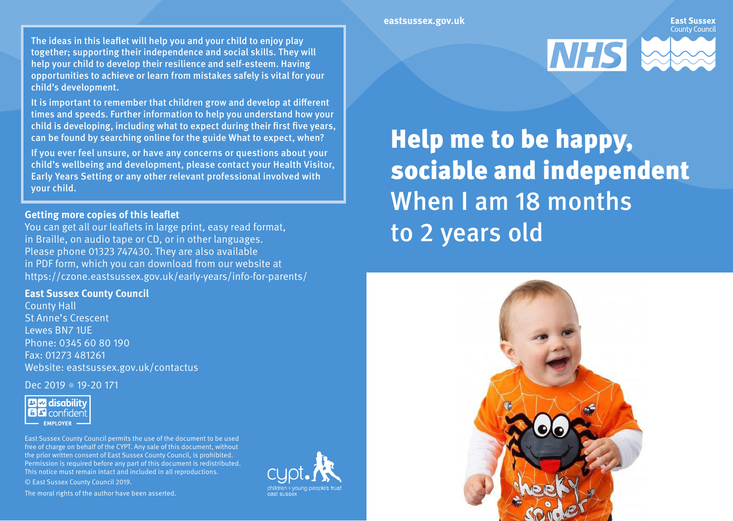The ideas in this leaflet will help you and your child to enjoy play together; supporting their independence and social skills. They will help your child to develop their resilience and self-esteem. Having opportunities to achieve or learn from mistakes safely is vital for your child's development.

It is important to remember that children grow and develop at different times and speeds. Further information to help you understand how your child is developing, including what to expect during their first five years, can be found by searching online for the guide What to expect, when?

If you ever feel unsure, or have any concerns or questions about your child's wellbeing and development, please contact your Health Visitor, Early Years Setting or any other relevant professional involved with your child.

#### **Getting more copies of this leaflet**

You can get all our leaflets in large print, easy read format, in Braille, on audio tape or CD, or in other languages. Please phone 01323 747430. They are also available in PDF form, which you can download from our website at https://czone.eastsussex.gov.uk/early-years/info-for-parents/

### **East Sussex County Council**

County Hall St Anne's Crescent Lewes BN7 1UE Phone: 0345 60 80 190 Fax: 01273 481261 Website: eastsussex.gov.uk/contactus

Dec 2019 **19-20 171** 



East Sussex County Council permits the use of the document to be used free of charge on behalf of the CYPT. Any sale of this document, without the prior written consent of East Sussex County Council, is prohibited. Permission is required before any part of this document is redistributed. This notice must remain intact and included in all reproductions. © East Sussex County Council 2019.

The moral rights of the author have been asserted.





Help me to be happy, sociable and independent When I am 18 months to 2 years old